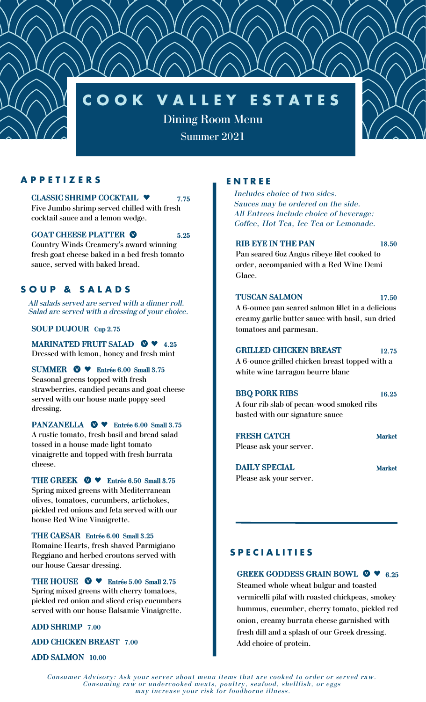# **C O O K V A L L E Y E S T A T E S**

Dining Room Menu

Summer 2021

## **A P P E T I Z E R S**

#### **CLASSIC SHRIMP COCKTAIL 7.75**

Five Jumbo shrimp served chilled with fresh cocktail sauce and a lemon wedge.

#### **GOAT CHEESE PLATTER 5.25**

Country Winds Creamery's award winning fresh goat cheese baked in a bed fresh tomato sauce, served with baked bread.

# **S O U P & S A L A D S**

*All salads served are served with a dinner roll. Salad are served with a dressing of your choice.*

## **SOUP DUJOUR Cup 2.75**

**MARINATED FRUIT SALAD**  $\bullet$  **4.25** Dressed with lemon, honey and fresh mint

**SUMMER**  $\bullet\bullet\bullet$  **Entrée** 6.00 Small 3.75 Seasonal greens topped with fresh strawberries, candied pecans and goat cheese served with our house made poppy seed dressing.

**PANZANELLA**  $\bullet$  **\* Entrée** 6.00 Small 3.75 A rustic tomato, fresh basil and bread salad tossed in a house made light tomato vinaigrette and topped with fresh burrata cheese.

**THE GREEK**  $\bullet \bullet$  **Entrée** 6.50 Small 3.75 Spring mixed greens with Mediterranean olives, tomatoes, cucumbers, artichokes, pickled red onions and feta served with our

house Red Wine Vinaigrette. **THE CAESAR Entrée 6.00 Small 3.25** Romaine Hearts, fresh shaved Parmigiano Reggiano and herbed croutons served with our house Caesar dressing.

THE HOUSE  $\bullet \bullet \bullet$  Entrée 5.00 Small 2.75 Spring mixed greens with cherry tomatoes, pickled red onion and sliced crisp cucumbers served with our house Balsamic Vinaigrette.

**ADD SHRIMP 7.00**

**ADD CHICKEN BREAST 7.00**

**ADD SALMON 10.00**

# **E N T R E E**

*Includes choice of two sides. Sauces may be ordered on the side. All Entrees include choice of beverage: Coffee, Hot Tea, Ice Tea or Lemonade.*

#### **RIB EYE IN THE PAN 18.50**

Pan seared 6oz Angus ribeye filet cooked to order, accompanied with a Red Wine Demi Glace.

## **TUSCAN SALMON 17.50**

A 6-ounce pan seared salmon fillet in a delicious creamy garlic butter sauce with basil, sun dried tomatoes and parmesan.

### **GRILLED CHICKEN BREAST 12.75**

A 6-ounce grilled chicken breast topped with a white wine tarragon beurre blanc

### **BBQ PORK RIBS 16.25**

A four rib slab of pecan-wood smoked ribs basted with our signature sauce

**FRESH CATCH Market** Please ask your server.

**DAILY SPECIAL Market** Please ask your server.

# **S P E C I A L I T I E S**

**GREEK GODDESS GRAIN BOWL 6.25**

Steamed whole wheat bulgur and toasted vermicelli pilaf with roasted chickpeas, smokey hummus, cucumber, cherry tomato, pickled red onion, creamy burrata cheese garnished with fresh dill and a splash of our Greek dressing. Add choice of protein.

*Consumer Advisory: Ask your server about menu items that are cooked to order or served raw. Consuming raw or undercooked meats, poultry, seafood, shellfish, or eggs may increase your risk for foodborne illness.*